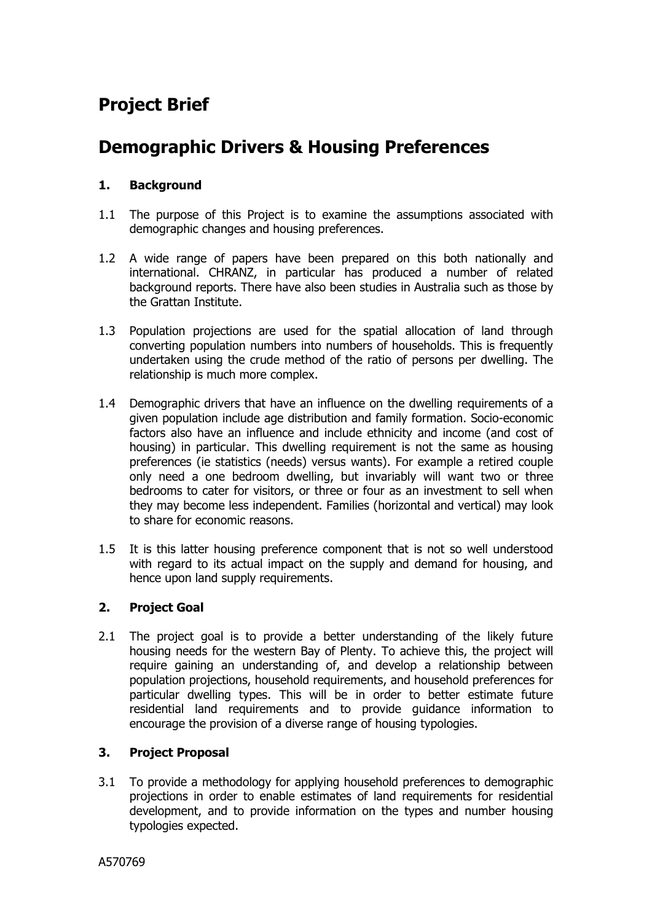# **Project Brief**

# **Demographic Drivers & Housing Preferences**

### **1. Background**

- 1.1 The purpose of this Project is to examine the assumptions associated with demographic changes and housing preferences.
- 1.2 A wide range of papers have been prepared on this both nationally and international. CHRANZ, in particular has produced a number of related background reports. There have also been studies in Australia such as those by the Grattan Institute.
- 1.3 Population projections are used for the spatial allocation of land through converting population numbers into numbers of households. This is frequently undertaken using the crude method of the ratio of persons per dwelling. The relationship is much more complex.
- 1.4 Demographic drivers that have an influence on the dwelling requirements of a given population include age distribution and family formation. Socio-economic factors also have an influence and include ethnicity and income (and cost of housing) in particular. This dwelling requirement is not the same as housing preferences (ie statistics (needs) versus wants). For example a retired couple only need a one bedroom dwelling, but invariably will want two or three bedrooms to cater for visitors, or three or four as an investment to sell when they may become less independent. Families (horizontal and vertical) may look to share for economic reasons.
- 1.5 It is this latter housing preference component that is not so well understood with regard to its actual impact on the supply and demand for housing, and hence upon land supply requirements.

#### **2. Project Goal**

2.1 The project goal is to provide a better understanding of the likely future housing needs for the western Bay of Plenty. To achieve this, the project will require gaining an understanding of, and develop a relationship between population projections, household requirements, and household preferences for particular dwelling types. This will be in order to better estimate future residential land requirements and to provide guidance information to encourage the provision of a diverse range of housing typologies.

#### **3. Project Proposal**

3.1 To provide a methodology for applying household preferences to demographic projections in order to enable estimates of land requirements for residential development, and to provide information on the types and number housing typologies expected.

A570769